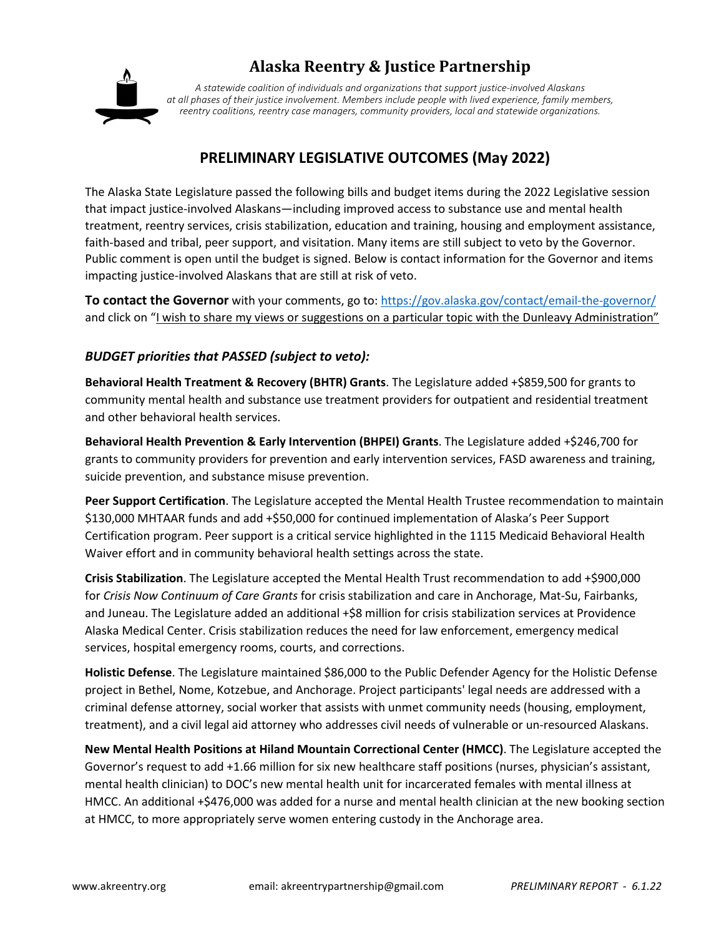

# **Alaska Reentry & Justice Partnership**

*A statewide coalition of individuals and organizations that support justice-involved Alaskans at all phases of their justice involvement. Members include people with lived experience, family members, reentry coalitions, reentry case managers, community providers, local and statewide organizations.*

## **PRELIMINARY LEGISLATIVE OUTCOMES (May 2022)**

The Alaska State Legislature passed the following bills and budget items during the 2022 Legislative session that impact justice-involved Alaskans—including improved access to substance use and mental health treatment, reentry services, crisis stabilization, education and training, housing and employment assistance, faith-based and tribal, peer support, and visitation. Many items are still subject to veto by the Governor. Public comment is open until the budget is signed. Below is contact information for the Governor and items impacting justice-involved Alaskans that are still at risk of veto.

**To contact the Governor** with your comments, go to: https://gov.alaska.gov/contact/email-the-governor/ and click on "I wish to share my views or suggestions on a particular topic with the Dunleavy Administration"

### *BUDGET priorities that PASSED (subject to veto):*

**Behavioral Health Treatment & Recovery (BHTR) Grants**. The Legislature added +\$859,500 for grants to community mental health and substance use treatment providers for outpatient and residential treatment and other behavioral health services.

**Behavioral Health Prevention & Early Intervention (BHPEI) Grants**. The Legislature added +\$246,700 for grants to community providers for prevention and early intervention services, FASD awareness and training, suicide prevention, and substance misuse prevention.

**Peer Support Certification**. The Legislature accepted the Mental Health Trustee recommendation to maintain \$130,000 MHTAAR funds and add +\$50,000 for continued implementation of Alaska's Peer Support Certification program. Peer support is a critical service highlighted in the 1115 Medicaid Behavioral Health Waiver effort and in community behavioral health settings across the state.

**Crisis Stabilization**. The Legislature accepted the Mental Health Trust recommendation to add +\$900,000 for *Crisis Now Continuum of Care Grants* for crisis stabilization and care in Anchorage, Mat-Su, Fairbanks, and Juneau. The Legislature added an additional +\$8 million for crisis stabilization services at Providence Alaska Medical Center. Crisis stabilization reduces the need for law enforcement, emergency medical services, hospital emergency rooms, courts, and corrections.

**Holistic Defense**. The Legislature maintained \$86,000 to the Public Defender Agency for the Holistic Defense project in Bethel, Nome, Kotzebue, and Anchorage. Project participants' legal needs are addressed with a criminal defense attorney, social worker that assists with unmet community needs (housing, employment, treatment), and a civil legal aid attorney who addresses civil needs of vulnerable or un-resourced Alaskans.

**New Mental Health Positions at Hiland Mountain Correctional Center (HMCC)**. The Legislature accepted the Governor's request to add +1.66 million for six new healthcare staff positions (nurses, physician's assistant, mental health clinician) to DOC's new mental health unit for incarcerated females with mental illness at HMCC. An additional +\$476,000 was added for a nurse and mental health clinician at the new booking section at HMCC, to more appropriately serve women entering custody in the Anchorage area.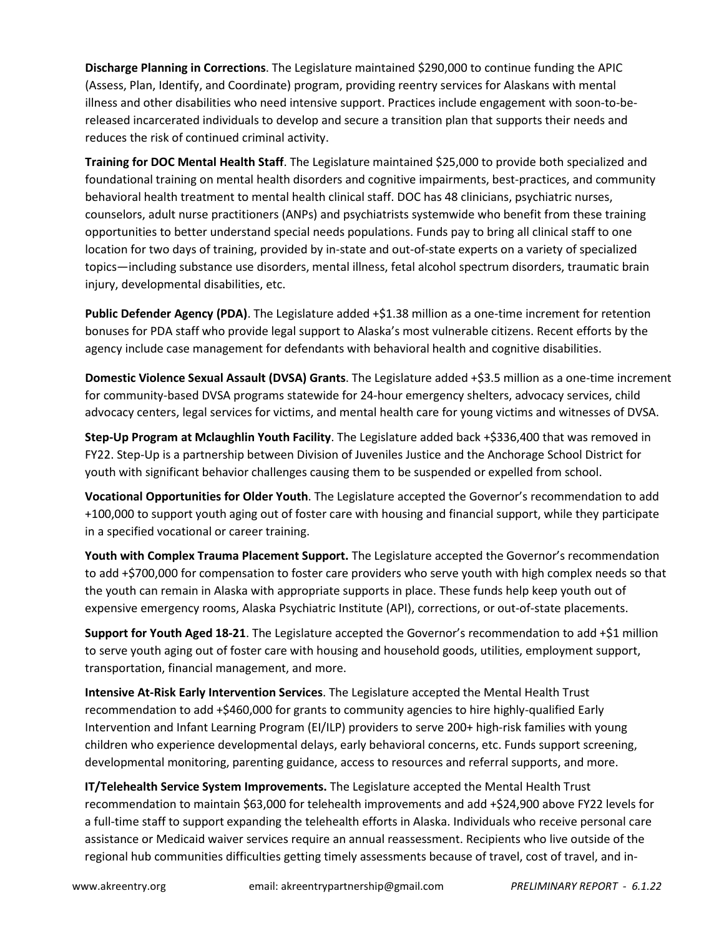**Discharge Planning in Corrections**. The Legislature maintained \$290,000 to continue funding the APIC (Assess, Plan, Identify, and Coordinate) program, providing reentry services for Alaskans with mental illness and other disabilities who need intensive support. Practices include engagement with soon-to-bereleased incarcerated individuals to develop and secure a transition plan that supports their needs and reduces the risk of continued criminal activity.

**Training for DOC Mental Health Staff**. The Legislature maintained \$25,000 to provide both specialized and foundational training on mental health disorders and cognitive impairments, best-practices, and community behavioral health treatment to mental health clinical staff. DOC has 48 clinicians, psychiatric nurses, counselors, adult nurse practitioners (ANPs) and psychiatrists systemwide who benefit from these training opportunities to better understand special needs populations. Funds pay to bring all clinical staff to one location for two days of training, provided by in-state and out-of-state experts on a variety of specialized topics—including substance use disorders, mental illness, fetal alcohol spectrum disorders, traumatic brain injury, developmental disabilities, etc.

**Public Defender Agency (PDA)**. The Legislature added +\$1.38 million as a one-time increment for retention bonuses for PDA staff who provide legal support to Alaska's most vulnerable citizens. Recent efforts by the agency include case management for defendants with behavioral health and cognitive disabilities.

**Domestic Violence Sexual Assault (DVSA) Grants**. The Legislature added +\$3.5 million as a one-time increment for community-based DVSA programs statewide for 24-hour emergency shelters, advocacy services, child advocacy centers, legal services for victims, and mental health care for young victims and witnesses of DVSA.

**Step-Up Program at Mclaughlin Youth Facility**. The Legislature added back +\$336,400 that was removed in FY22. Step-Up is a partnership between Division of Juveniles Justice and the Anchorage School District for youth with significant behavior challenges causing them to be suspended or expelled from school.

**Vocational Opportunities for Older Youth**. The Legislature accepted the Governor's recommendation to add +100,000 to support youth aging out of foster care with housing and financial support, while they participate in a specified vocational or career training.

**Youth with Complex Trauma Placement Support.** The Legislature accepted the Governor's recommendation to add +\$700,000 for compensation to foster care providers who serve youth with high complex needs so that the youth can remain in Alaska with appropriate supports in place. These funds help keep youth out of expensive emergency rooms, Alaska Psychiatric Institute (API), corrections, or out-of-state placements.

**Support for Youth Aged 18-21**. The Legislature accepted the Governor's recommendation to add +\$1 million to serve youth aging out of foster care with housing and household goods, utilities, employment support, transportation, financial management, and more.

**Intensive At-Risk Early Intervention Services**. The Legislature accepted the Mental Health Trust recommendation to add +\$460,000 for grants to community agencies to hire highly-qualified Early Intervention and Infant Learning Program (EI/ILP) providers to serve 200+ high-risk families with young children who experience developmental delays, early behavioral concerns, etc. Funds support screening, developmental monitoring, parenting guidance, access to resources and referral supports, and more.

**IT/Telehealth Service System Improvements.** The Legislature accepted the Mental Health Trust recommendation to maintain \$63,000 for telehealth improvements and add +\$24,900 above FY22 levels for a full-time staff to support expanding the telehealth efforts in Alaska. Individuals who receive personal care assistance or Medicaid waiver services require an annual reassessment. Recipients who live outside of the regional hub communities difficulties getting timely assessments because of travel, cost of travel, and in-